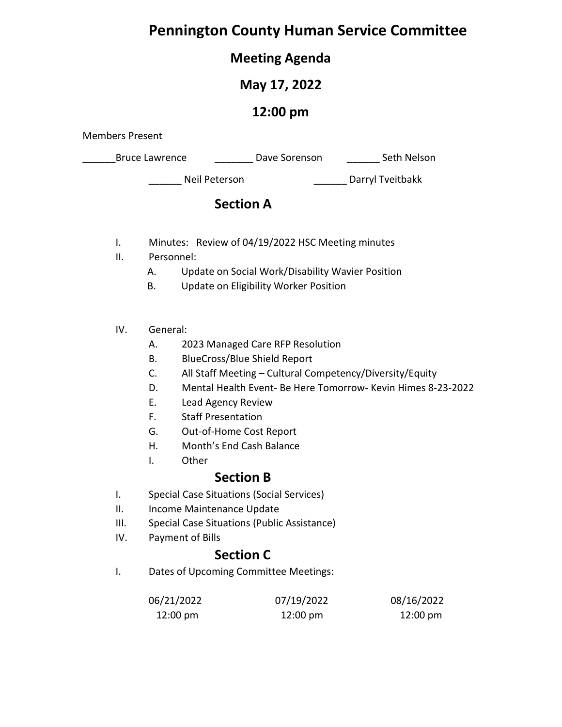# **Pennington County Human Service Committee**

# **Meeting Agenda**

# **May 17, 2022**

# **12:00 pm**

Members Present

Bruce Lawrence **Example 20 Dave Sorenson** Seth Nelson

\_\_\_\_\_\_ Neil Peterson \_\_\_\_\_\_ Darryl Tveitbakk

# **Section A**

- I. Minutes: Review of 04/19/2022 HSC Meeting minutes
- II. Personnel:
	- A. Update on Social Work/Disability Wavier Position
	- B. Update on Eligibility Worker Position

### IV. General:

- A. 2023 Managed Care RFP Resolution
- B. BlueCross/Blue Shield Report
- C. All Staff Meeting Cultural Competency/Diversity/Equity
- D. Mental Health Event- Be Here Tomorrow- Kevin Himes 8-23-2022
- E. Lead Agency Review
- F. Staff Presentation
- G. Out-of-Home Cost Report
- H. Month's End Cash Balance
- I. Other

# **Section B**

- I. Special Case Situations (Social Services)
- II. Income Maintenance Update
- III. Special Case Situations (Public Assistance)
- IV. Payment of Bills

# **Section C**

I. Dates of Upcoming Committee Meetings:

| 06/21/2022         | 07/19/2022         | 08/16/2022         |
|--------------------|--------------------|--------------------|
| $12:00 \text{ pm}$ | $12:00 \text{ pm}$ | $12:00 \text{ pm}$ |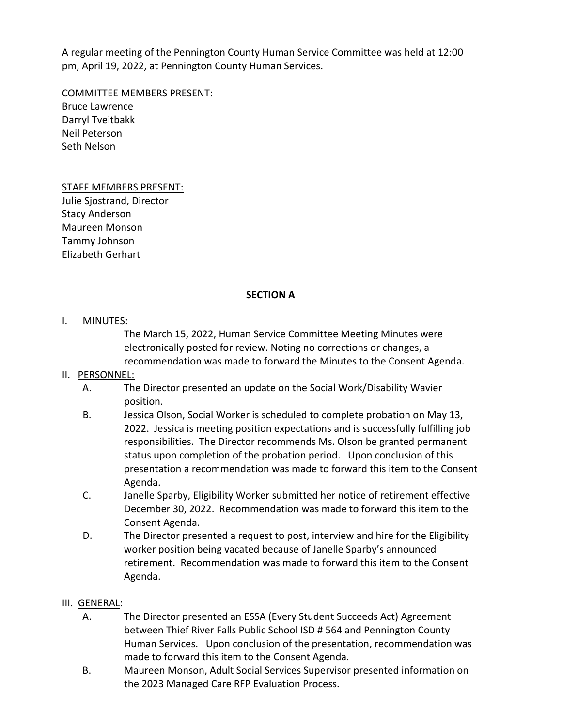A regular meeting of the Pennington County Human Service Committee was held at 12:00 pm, April 19, 2022, at Pennington County Human Services.

COMMITTEE MEMBERS PRESENT:

Bruce Lawrence Darryl Tveitbakk Neil Peterson Seth Nelson

### STAFF MEMBERS PRESENT:

Julie Sjostrand, Director Stacy Anderson Maureen Monson Tammy Johnson Elizabeth Gerhart

### **SECTION A**

### I. MINUTES:

The March 15, 2022, Human Service Committee Meeting Minutes were electronically posted for review. Noting no corrections or changes, a recommendation was made to forward the Minutes to the Consent Agenda.

### II. PERSONNEL:

- A. The Director presented an update on the Social Work/Disability Wavier position.
- B. Jessica Olson, Social Worker is scheduled to complete probation on May 13, 2022. Jessica is meeting position expectations and is successfully fulfilling job responsibilities. The Director recommends Ms. Olson be granted permanent status upon completion of the probation period. Upon conclusion of this presentation a recommendation was made to forward this item to the Consent Agenda.
- C. Janelle Sparby, Eligibility Worker submitted her notice of retirement effective December 30, 2022. Recommendation was made to forward this item to the Consent Agenda.
- D. The Director presented a request to post, interview and hire for the Eligibility worker position being vacated because of Janelle Sparby's announced retirement. Recommendation was made to forward this item to the Consent Agenda.

### III. GENERAL:

- A. The Director presented an ESSA (Every Student Succeeds Act) Agreement between Thief River Falls Public School ISD # 564 and Pennington County Human Services. Upon conclusion of the presentation, recommendation was made to forward this item to the Consent Agenda.
- B. Maureen Monson, Adult Social Services Supervisor presented information on the 2023 Managed Care RFP Evaluation Process.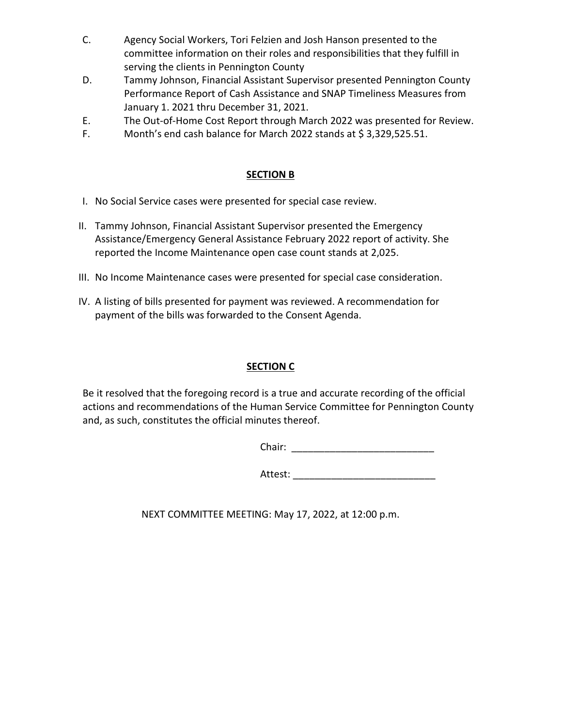- C. Agency Social Workers, Tori Felzien and Josh Hanson presented to the committee information on their roles and responsibilities that they fulfill in serving the clients in Pennington County
- D. Tammy Johnson, Financial Assistant Supervisor presented Pennington County Performance Report of Cash Assistance and SNAP Timeliness Measures from January 1. 2021 thru December 31, 2021.
- E. The Out-of-Home Cost Report through March 2022 was presented for Review.
- F. Month's end cash balance for March 2022 stands at \$3,329,525.51.

## **SECTION B**

- I. No Social Service cases were presented for special case review.
- II. Tammy Johnson, Financial Assistant Supervisor presented the Emergency Assistance/Emergency General Assistance February 2022 report of activity. She reported the Income Maintenance open case count stands at 2,025.
- III. No Income Maintenance cases were presented for special case consideration.
- IV. A listing of bills presented for payment was reviewed. A recommendation for payment of the bills was forwarded to the Consent Agenda.

# **SECTION C**

Be it resolved that the foregoing record is a true and accurate recording of the official actions and recommendations of the Human Service Committee for Pennington County and, as such, constitutes the official minutes thereof.

Chair: \_\_\_\_\_\_\_\_\_\_\_\_\_\_\_\_\_\_\_\_\_\_\_\_\_\_

Attest: \_\_\_\_\_\_\_\_\_\_\_\_\_\_\_\_\_\_\_\_\_\_\_\_\_\_

NEXT COMMITTEE MEETING: May 17, 2022, at 12:00 p.m.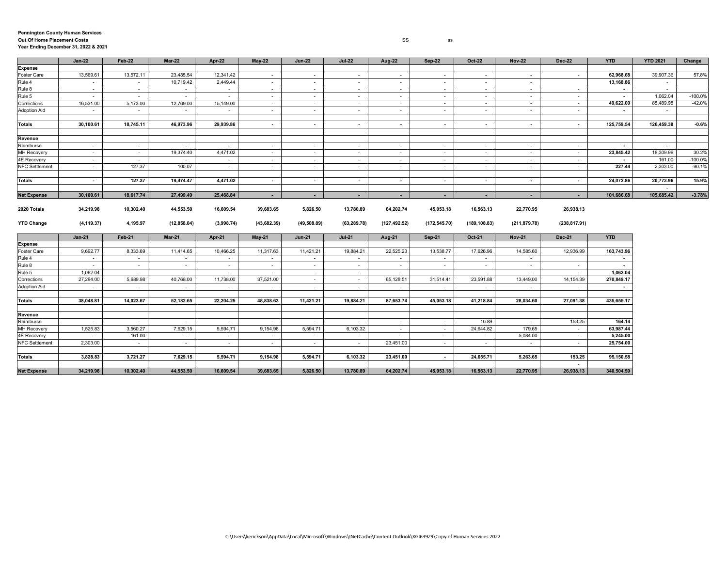### **Pennington County Human Services Out Of Home Placement Costs** SS ss **Year Ending December 31, 2022 & 2021**

|                       | <b>Jan-22</b> | Feb-22           | <b>Mar-22</b> | Apr-22     | <b>May-22</b>                      | <b>Jun-22</b> | <b>Jul-22</b>            | Aug-22                   | <b>Sep-22</b> | <b>Oct-22</b>    | <b>Nov-22</b>            | <b>Dec-22</b>            | <b>YTD</b>               | <b>YTD 2021</b> | Change    |
|-----------------------|---------------|------------------|---------------|------------|------------------------------------|---------------|--------------------------|--------------------------|---------------|------------------|--------------------------|--------------------------|--------------------------|-----------------|-----------|
| Expense               |               |                  |               |            |                                    |               |                          |                          |               |                  |                          |                          |                          |                 |           |
| Foster Care           | 13,569.61     | 13,572.11        | 23,485.54     | 12,341.42  | $\overline{\phantom{a}}$           | $\sim$        |                          | $\overline{\phantom{a}}$ | $\sim$        |                  |                          |                          | 62,968.68                | 39,907.36       | 57.8%     |
| Rule 4                | $\sim$        | $\sim$           | 10,719.42     | 2,449.44   | $\sim$                             | $\sim$        | $\sim$                   | $\sim$                   | $\sim$        | $\sim$           | $\sim$ $-$               |                          | 13.168.86                | $\sim$          |           |
| Rule 8                | $\sim$        | $\sim$           | $\sim$        | $\sim$     | $\sim$                             | $\sim$        | $\sim$                   | $\sim$                   | $\sim$        | $\sim$           | $\sim$                   | $\sim$                   |                          | $\sim$          |           |
| Rule 5                | $\sim$        | $\sim$           | $\sim$        | $\sim$     | $\overline{\phantom{a}}$           | $\sim$        | $\sim$                   | $\sim$                   | $\sim$        | $\sim$           | $\sim$                   | $\sim$                   | $\overline{\phantom{a}}$ | 1,062.04        | $-100.0%$ |
| Corrections           | 16,531.00     | 5,173.00         | 12,769.00     | 15,149.00  | $\sim$                             | $\sim$        | $\sim$                   | $\sim$                   | $\sim$        | $\sim$           | $\overline{\phantom{a}}$ | $\sim$                   | 49,622.00                | 85,489.98       | $-42.0%$  |
| Adoption Aid          | $\sim$        | $\sim$           | $\sim$        | $\sim$     | $\sim$                             | $\sim$        | $\sim$                   | $\sim$                   | $\sim$        | $\sim$           | $\sim$                   | $\overline{\phantom{a}}$ |                          | $\sim$          |           |
|                       |               |                  |               |            |                                    |               |                          |                          |               |                  |                          |                          |                          |                 |           |
| Totals                | 30.100.61     | 18.745.11        | 46.973.96     | 29.939.86  | $\sim$                             | $\sim$        | $\sim$                   | $\sim$                   | $\sim$        | $\sim$           | $\sim$                   | $\sim$                   | 125.759.54               | 126.459.38      | $-0.6%$   |
|                       |               |                  |               |            |                                    |               |                          |                          |               |                  |                          |                          |                          |                 |           |
| Revenue               |               |                  |               |            |                                    |               |                          |                          |               |                  |                          |                          |                          |                 |           |
| Reimburse             | $\sim$        | $\sim$           | $\sim$        |            | $\sim$                             | $\sim$        | $\sim$                   | $\sim$                   | $\sim$        |                  |                          | $\sim$                   |                          | $\sim$          |           |
| <b>MH Recovery</b>    | $\sim$        | $\sim$           | 19,374.40     | 4,471.02   | $\overline{\phantom{a}}$           | $\sim$        | $\sim$                   | $\sim$                   | $\sim$        | $\sim$           | $\sim$                   | $\sim$                   | 23,845.42                | 18,309.96       | 30.2%     |
| 4E Recovery           | $\sim$        | $\sim$           | $\sim$        | $\sim$     | $\overline{\phantom{a}}$           | $\sim$        | $\sim$                   | $\sim$                   | $\sim$        | $\sim$           | $\sim$                   | $\overline{\phantom{a}}$ |                          | 161.00          | $-100.0%$ |
| <b>NFC Settlement</b> | $\sim$        | 127.37           | 100.07        | $\sim$     | $\sim$                             | $\sim$        | $\sim$                   | $\sim$                   | $\sim$        | $\sim$           | $\sim$                   | $\sim$                   | 227.44                   | 2.303.00        | $-90.1%$  |
|                       |               |                  |               |            |                                    |               |                          |                          |               |                  |                          |                          |                          |                 |           |
| Totals                | $\sim$        | 127.37           | 19,474.47     | 4,471.02   | $\sim$                             | $\sim$        | $\overline{\phantom{a}}$ | $\sim$                   | $\sim$        | $\sim$           | $\overline{\phantom{a}}$ | $\sim$                   | 24,072.86                | 20,773.96       | 15.9%     |
|                       |               |                  |               |            |                                    |               |                          |                          |               |                  |                          |                          |                          | $\sim$          |           |
| <b>Net Expense</b>    | 30,100.61     | 18,617.74        | 27,499.49     | 25,468.84  | $\sim$                             | $\sim$        | ٠                        | $\sim$                   | $\sim$        | $\sim$           | ٠                        | $\sim$                   | 101,686.68               | 105,685.42      | $-3.78%$  |
|                       |               |                  |               |            |                                    |               |                          |                          |               |                  |                          |                          |                          |                 |           |
| 2020 Totals           | 34,219.98     | 10,302.40        | 44.553.50     | 16,609.54  | 39,683.65                          | 5,826.50      | 13,780.89                | 64,202.74                | 45,053.18     | 16,563.13        | 22,770.95                | 26,938.13                |                          |                 |           |
|                       |               |                  |               |            |                                    |               |                          |                          |               |                  |                          |                          |                          |                 |           |
| <b>YTD Change</b>     | (4, 119.37)   | 4,195.97         | (12, 858.04)  | (3,998.74) | (43, 682.39)                       | (49,508.89)   | (63, 289.78)             | (127, 492.52)            | (172, 545.70) | (189, 108.83)    | (211, 879.78)            | (238, 817.91)            |                          |                 |           |
|                       |               |                  |               |            |                                    |               |                          |                          |               |                  |                          |                          |                          |                 |           |
| Expense               | $Jan-21$      | <b>Feb-21</b>    | <b>Mar-21</b> | Apr-21     | <b>May-21</b>                      | <b>Jun-21</b> | <b>Jul-21</b>            | Aug-21                   | <b>Sep-21</b> | <b>Oct-21</b>    | <b>Nov-21</b>            | <b>Dec-21</b>            | <b>YTD</b>               |                 |           |
| Foster Care           | 9,692.77      | 8,333.69         | 11,414.65     | 10,466.25  | 11,317.63                          | 11,421.21     | 19,884.21                | 22,525.23                | 13,538.77     | 17,626.96        | 14,585.60                | 12,936.99                | 163,743.96               |                 |           |
| Rule 4                | $\sim$        |                  | $\sim$        | $\sim$     |                                    | $\sim$        |                          |                          | $\sim$        |                  | $\sim$                   |                          |                          |                 |           |
| Rule 8                | $\sim$        | $\sim$<br>$\sim$ | $\sim$        | $\sim$     | $\overline{\phantom{a}}$<br>$\sim$ | $\sim$        | $\sim$<br>$\sim$         | $\sim$<br>$\sim$         | $\sim$        | $\sim$<br>$\sim$ | $\sim$                   | $\sim$                   | $\overline{\phantom{a}}$ |                 |           |
| Rule 5                | 1,062.04      | $\sim$           | $\sim$        |            | $\overline{\phantom{a}}$           | $\sim$        | $\sim$                   | $\overline{\phantom{a}}$ | $\sim$        |                  |                          |                          | 1,062.04                 |                 |           |
| Corrections           | 27,294.00     | 5,689.98         | 40,768.00     | 11,738.00  | 37,521.00                          | $\sim$        |                          | 65,128.51                | 31,514.41     | 23,591.88        | 13,449.00                | 14, 154.39               | 270,849.17               |                 |           |
| Adoption Aid          | $\sim$        | $\sim$           | $\sim$        | $\sim$     | $\sim$                             | $\sim$        | $\sim$<br>$\sim$         | $\sim$                   | $\sim$        | $\sim$           | $\sim$                   | $\sim$                   |                          |                 |           |
|                       |               |                  |               |            |                                    |               |                          |                          |               |                  |                          |                          |                          |                 |           |
| Totals                | 38.048.81     | 14,023.67        | 52,182.65     | 22.204.25  | 48,838.63                          | 11,421.21     | 19.884.21                | 87,653.74                | 45,053.18     | 41,218.84        | 28.034.60                | 27,091.38                | 435,655.17               |                 |           |
|                       |               |                  |               |            |                                    |               |                          |                          |               |                  |                          |                          |                          |                 |           |
| Revenue               |               |                  |               |            |                                    |               |                          |                          |               |                  |                          |                          |                          |                 |           |
| Reimburse             | $\sim$        | $\sim$           | $\sim$        | $\sim$     | $\sim$                             | $\sim$        | $\sim$                   | $\sim$                   | $\sim$        | 10.89            | $\sim$                   | 153.25                   | 164.14                   |                 |           |
| <b>MH Recovery</b>    | 1,525.83      | 3,560.27         | 7,629.15      | 5,594.71   | 9,154.98                           | 5,594.71      | 6,103.32                 | $\sim$                   | $\sim$        | 24,644.82        | 179.65                   | $\sim$                   | 63,987.44                |                 |           |
| 4E Recovery           |               | 161.00           | $\sim$        |            | $\overline{\phantom{a}}$           | $\sim$        |                          |                          | $\sim$        |                  | 5,084.00                 |                          | 5,245.00                 |                 |           |
| <b>NFC Settlement</b> | 2,303.00      | $\sim$           | $\sim$        | $\sim$     | $\sim$                             | $\sim$        | $\sim$                   | 23,451.00                | $\sim$        | $\sim$           | $\sim$                   | $\sim$                   | 25,754.00                |                 |           |
|                       |               |                  |               |            |                                    |               |                          |                          |               |                  |                          |                          |                          |                 |           |
| Totals                | 3,828.83      | 3,721.27         | 7,629.15      | 5,594.71   | 9,154.98                           | 5,594.71      | 6,103.32                 | 23,451.00                | $\sim$        | 24,655.71        | 5,263.65                 | 153.25                   | 95,150.58                |                 |           |
|                       |               |                  |               |            |                                    |               |                          |                          |               |                  |                          | $\sim$                   |                          |                 |           |
| <b>Net Expense</b>    | 34.219.98     | 10,302.40        | 44.553.50     | 16.609.54  | 39.683.65                          | 5,826.50      | 13.780.89                | 64,202.74                | 45,053.18     | 16.563.13        | 22,770.95                | 26.938.13                | 340.504.59               |                 |           |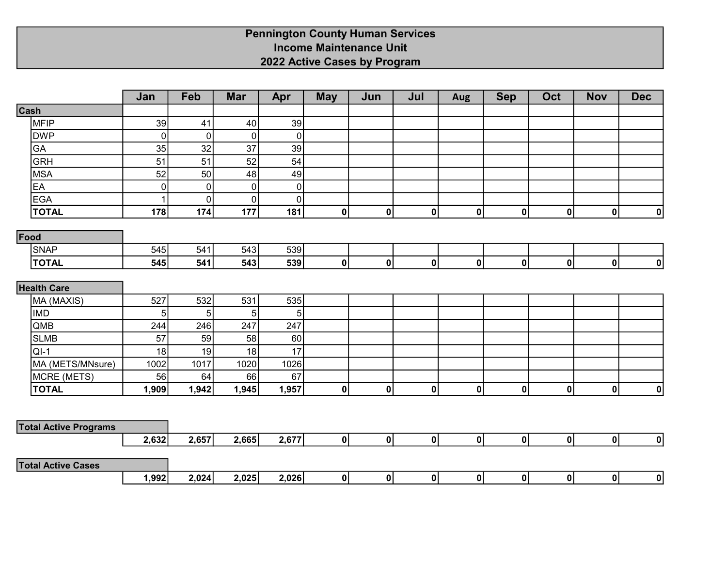## Pennington County Human Services Income Maintenance Unit 2022 Active Cases by Program

|                              | Jan          | Feb            | <b>Mar</b>     | Apr         | <b>May</b>   | Jun          | Jul         | <b>Aug</b>   | <b>Sep</b> | Oct          | <b>Nov</b>  | <b>Dec</b>              |
|------------------------------|--------------|----------------|----------------|-------------|--------------|--------------|-------------|--------------|------------|--------------|-------------|-------------------------|
| Cash                         |              |                |                |             |              |              |             |              |            |              |             |                         |
| <b>MFIP</b>                  | 39           | 41             | 40             | 39          |              |              |             |              |            |              |             |                         |
| <b>DWP</b>                   | $\pmb{0}$    | $\overline{0}$ | $\overline{0}$ | $\pmb{0}$   |              |              |             |              |            |              |             |                         |
| GA                           | 35           | 32             | 37             | 39          |              |              |             |              |            |              |             |                         |
| <b>GRH</b>                   | 51           | 51             | 52             | 54          |              |              |             |              |            |              |             |                         |
| <b>MSA</b>                   | 52           | 50             | 48             | 49          |              |              |             |              |            |              |             |                         |
| EA                           | $\pmb{0}$    | $\mathbf 0$    | $\overline{0}$ | $\pmb{0}$   |              |              |             |              |            |              |             |                         |
| <b>EGA</b>                   | $\mathbf{1}$ | $\overline{0}$ | $\overline{0}$ | $\mathbf 0$ |              |              |             |              |            |              |             |                         |
| <b>TOTAL</b>                 | 178          | 174            | 177            | 181         | $\mathbf{0}$ | $\pmb{0}$    | $\pmb{0}$   | $\mathbf{0}$ | 0          | $\mathbf{0}$ | $\pmb{0}$   | 0                       |
| Food                         |              |                |                |             |              |              |             |              |            |              |             |                         |
| <b>SNAP</b>                  | 545          | 541            | 543            | 539         |              |              |             |              |            |              |             |                         |
| <b>TOTAL</b>                 | 545          | 541            | 543            | 539         | $\mathbf{0}$ | $\mathbf 0$  | $\mathbf 0$ | $\mathbf{0}$ | 0          | 0            | $\pmb{0}$   | 0                       |
|                              |              |                |                |             |              |              |             |              |            |              |             |                         |
| <b>Health Care</b>           |              |                |                |             |              |              |             |              |            |              |             |                         |
| MA (MAXIS)                   | 527          | 532            | 531            | 535         |              |              |             |              |            |              |             |                         |
| <b>IMD</b>                   | 5            | 5              | 5              | 5           |              |              |             |              |            |              |             |                         |
| QMB                          | 244          | 246            | 247            | 247         |              |              |             |              |            |              |             |                         |
| <b>SLMB</b>                  | 57           | 59             | 58             | 60          |              |              |             |              |            |              |             |                         |
| $QI-1$                       | 18           | 19             | 18             | 17          |              |              |             |              |            |              |             |                         |
| MA (METS/MNsure)             | 1002         | 1017           | 1020           | 1026        |              |              |             |              |            |              |             |                         |
| MCRE (METS)                  | 56           | 64             | 66             | 67          |              |              |             |              |            |              |             |                         |
| <b>TOTAL</b>                 | 1,909        | 1,942          | 1,945          | 1,957       | 0            | $\mathbf{0}$ | $\mathbf 0$ | 0            | 0          | 0            | $\mathbf 0$ | 0                       |
|                              |              |                |                |             |              |              |             |              |            |              |             |                         |
| <b>Total Active Programs</b> |              |                |                |             |              |              |             |              |            |              |             |                         |
|                              | 2,632        | 2,657          | 2,665          | 2,677       | 0            | 0            | $\mathbf 0$ | 0            | 0          | 0            | 0           | 0                       |
| <b>Total Active Cases</b>    |              |                |                |             |              |              |             |              |            |              |             |                         |
|                              | 1,992        | 2,024          | 2,025          | 2,026       | 0            | 0            | $\mathbf 0$ | 0            | 0          | 0            | 0           | $\overline{\mathbf{0}}$ |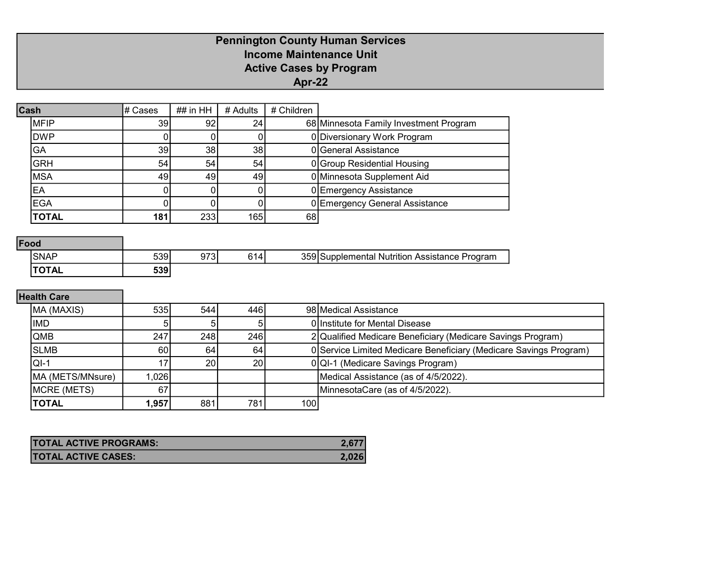# Pennington County Human Services Income Maintenance Unit Active Cases by Program Apr-22

| Cash |              | # Cases | ## in HH | # Adults        | # Children |                                        |
|------|--------------|---------|----------|-----------------|------------|----------------------------------------|
|      | <b>IMFIP</b> | 39      | 92       | 24 <sub>1</sub> |            | 68 Minnesota Family Investment Program |
|      | <b>DWP</b>   |         |          |                 |            | 0 Diversionary Work Program            |
|      | GA           | 39      | 38       | 38              |            | 0 General Assistance                   |
|      | <b>GRH</b>   | 54      | 54       | 54              |            | 0 Group Residential Housing            |
|      | <b>MSA</b>   | 49      | 49       | 49              |            | 0 Minnesota Supplement Aid             |
|      | ΈA           |         |          |                 |            | 0 Emergency Assistance                 |
|      | <b>EGA</b>   |         |          |                 |            | 0 Emergency General Assistance         |
|      | <b>TOTAL</b> | 181     | 233      | 165             | 68         |                                        |

### Food

| <b>SNAF</b>  | 539        | ^7^<br>ີ<br>ں ، ت | CА. | <b>REQIST</b> | Program<br>Nutrition<br>Assistance<br>pplemental<br>וור |
|--------------|------------|-------------------|-----|---------------|---------------------------------------------------------|
| <b>TOTAL</b> | E2Q<br>JJJ |                   |     |               |                                                         |

# Health Care

| MA (MAXIS)       | 535I   | 544 l           | 446I            |     | 98 Medical Assistance                                             |
|------------------|--------|-----------------|-----------------|-----|-------------------------------------------------------------------|
| <b>IMD</b>       |        |                 |                 |     | 0 Institute for Mental Disease                                    |
| <b>QMB</b>       | 247    | 248             | 246             |     | 2 Qualified Medicare Beneficiary (Medicare Savings Program)       |
| <b>SLMB</b>      | 60     | 64 l            | 64 <sup>1</sup> |     | 0 Service Limited Medicare Beneficiary (Medicare Savings Program) |
| $ Q -1$          |        | 20 <sub>1</sub> | <b>20</b>       |     | 0 QI-1 (Medicare Savings Program)                                 |
| MA (METS/MNsure) | 1.0261 |                 |                 |     | Medical Assistance (as of 4/5/2022).                              |
| MCRE (METS)      | 67     |                 |                 |     | MinnesotaCare (as of 4/5/2022).                                   |
| <b>TOTAL</b>     | 1,957  | 881             | 781             | 100 |                                                                   |

| <b>TOTAL ACTIVE PROGRAMS:</b> |       |
|-------------------------------|-------|
| <b>TOTAL ACTIVE CASES:</b>    | 2.026 |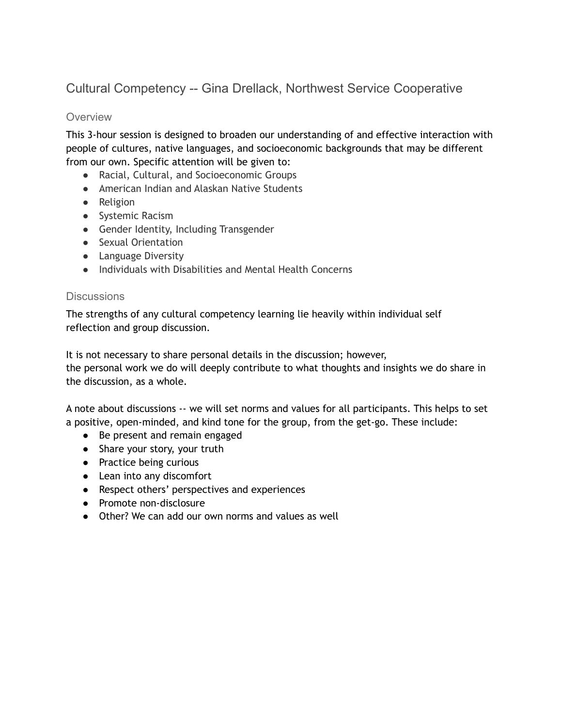# Cultural Competency -- Gina Drellack, Northwest Service Cooperative

### **Overview**

This 3-hour session is designed to broaden our understanding of and effective interaction with people of cultures, native languages, and socioeconomic backgrounds that may be different from our own. Specific attention will be given to:

- Racial, Cultural, and Socioeconomic Groups
- American Indian and Alaskan Native Students
- Religion
- Systemic Racism
- Gender Identity, Including Transgender
- Sexual Orientation
- Language Diversity
- Individuals with Disabilities and Mental Health Concerns

### **Discussions**

The strengths of any cultural competency learning lie heavily within individual self reflection and group discussion.

It is not necessary to share personal details in the discussion; however,

the personal work we do will deeply contribute to what thoughts and insights we do share in the discussion, as a whole.

A note about discussions -- we will set norms and values for all participants. This helps to set a positive, open-minded, and kind tone for the group, from the get-go. These include:

- Be present and remain engaged
- Share your story, your truth
- Practice being curious
- Lean into any discomfort
- Respect others' perspectives and experiences
- Promote non-disclosure
- Other? We can add our own norms and values as well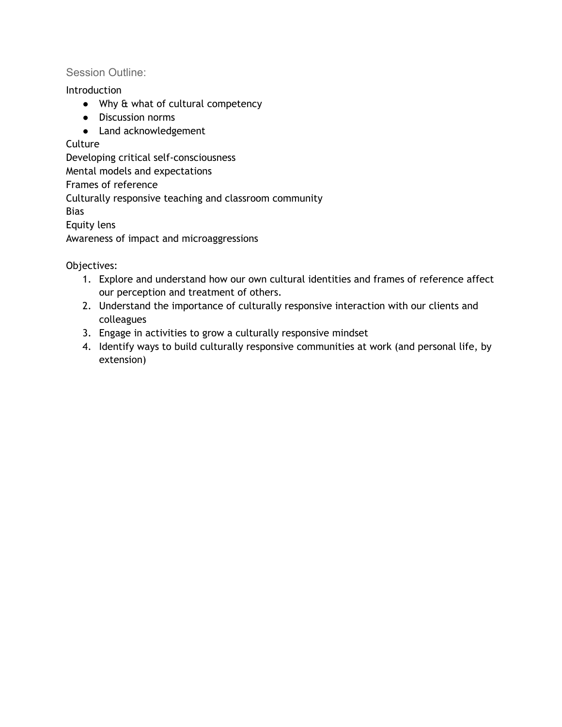### Session Outline:

Introduction

- Why & what of cultural competency
- Discussion norms
- Land acknowledgement

## **Culture**

Developing critical self-consciousness

Mental models and expectations

Frames of reference

Culturally responsive teaching and classroom community

Bias

Equity lens

Awareness of impact and microaggressions

Objectives:

- 1. Explore and understand how our own cultural identities and frames of reference affect our perception and treatment of others.
- 2. Understand the importance of culturally responsive interaction with our clients and colleagues
- 3. Engage in activities to grow a culturally responsive mindset
- 4. Identify ways to build culturally responsive communities at work (and personal life, by extension)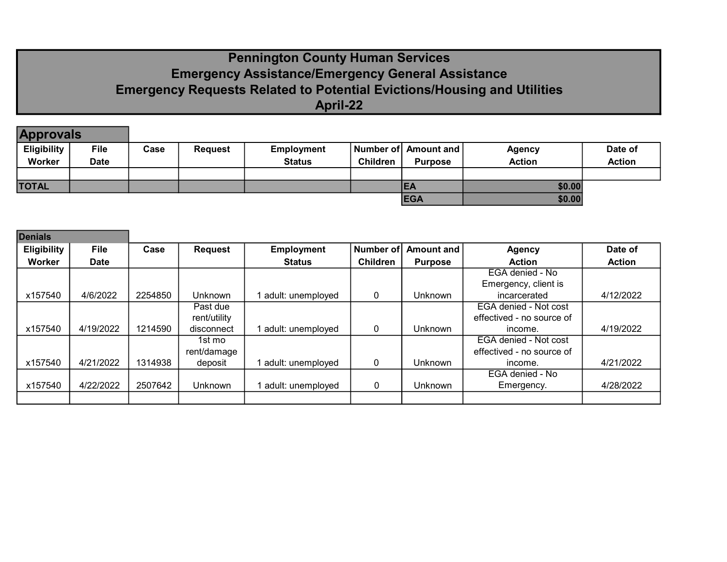# Pennington County Human Services Emergency Assistance/Emergency General Assistance Emergency Requests Related to Potential Evictions/Housing and Utilities April-22

| <b>Approvals</b>   |             |      |                |                   |                 |                      |               |               |
|--------------------|-------------|------|----------------|-------------------|-----------------|----------------------|---------------|---------------|
| <b>Eligibility</b> | <b>File</b> | Case | <b>Request</b> | <b>Employment</b> |                 | Number of Amount and | <b>Agency</b> | Date of       |
| Worker             | Date        |      |                | <b>Status</b>     | <b>Children</b> | <b>Purpose</b>       | <b>Action</b> | <b>Action</b> |
|                    |             |      |                |                   |                 |                      |               |               |
| <b>TOTAL</b>       |             |      |                |                   |                 | IEA                  | \$0.00        |               |
|                    |             |      |                |                   |                 | <b>EGA</b>           | \$0.00        |               |

| <b>Denials</b>     |             |         |                |                   |                 |                |                           |               |
|--------------------|-------------|---------|----------------|-------------------|-----------------|----------------|---------------------------|---------------|
| <b>Eligibility</b> | <b>File</b> | Case    | <b>Request</b> | <b>Employment</b> | Number of       | Amount and     | <b>Agency</b>             | Date of       |
| Worker             | <b>Date</b> |         |                | <b>Status</b>     | <b>Children</b> | <b>Purpose</b> | <b>Action</b>             | <b>Action</b> |
|                    |             |         |                |                   |                 |                | EGA denied - No           |               |
|                    |             |         |                |                   |                 |                | Emergency, client is      |               |
| x157540            | 4/6/2022    | 2254850 | <b>Unknown</b> | adult: unemployed | 0               | <b>Unknown</b> | incarcerated              | 4/12/2022     |
|                    |             |         | Past due       |                   |                 |                | EGA denied - Not cost     |               |
|                    |             |         | rent/utility   |                   |                 |                | effectived - no source of |               |
| x157540            | 4/19/2022   | 1214590 | disconnect     | adult: unemployed | 0               | Unknown        | income.                   | 4/19/2022     |
|                    |             |         | 1st mo         |                   |                 |                | EGA denied - Not cost     |               |
|                    |             |         | rent/damage    |                   |                 |                | effectived - no source of |               |
| x157540            | 4/21/2022   | 1314938 | deposit        | adult: unemployed | 0               | <b>Unknown</b> | income.                   | 4/21/2022     |
|                    |             |         |                |                   |                 |                | EGA denied - No           |               |
| x157540            | 4/22/2022   | 2507642 | Unknown        | adult: unemployed | 0               | Unknown        | Emergency.                | 4/28/2022     |
|                    |             |         |                |                   |                 |                |                           |               |